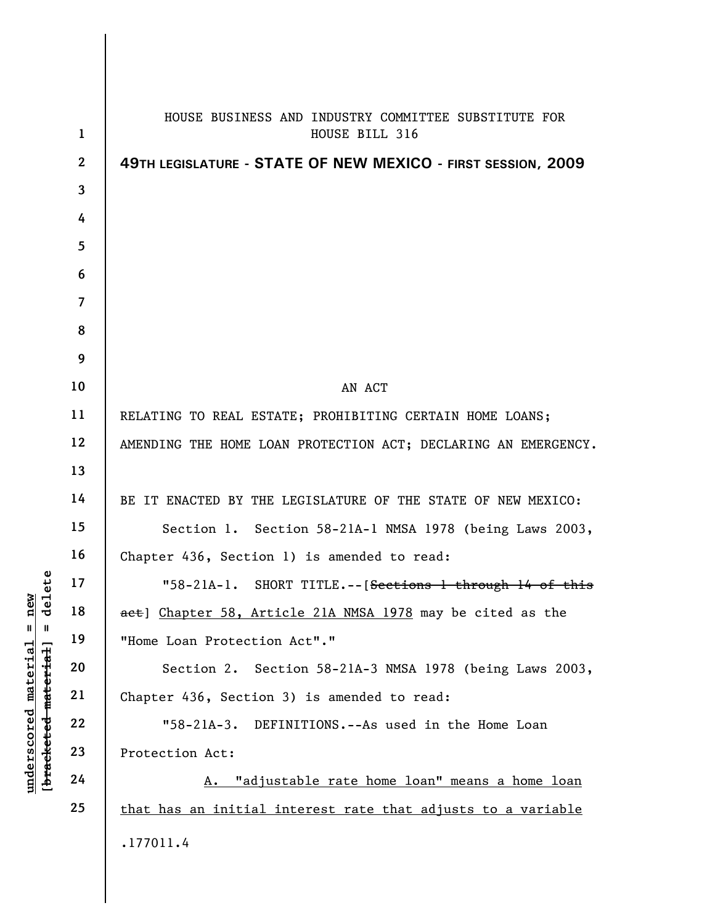| $\mathbf{1}$            | HOUSE BUSINESS AND INDUSTRY COMMITTEE SUBSTITUTE FOR<br>HOUSE BILL 316 |
|-------------------------|------------------------------------------------------------------------|
| $\boldsymbol{2}$        | 49TH LEGISLATURE - STATE OF NEW MEXICO - FIRST SESSION, 2009           |
| $\overline{\mathbf{3}}$ |                                                                        |
| 4                       |                                                                        |
| 5                       |                                                                        |
| 6                       |                                                                        |
| $\overline{7}$          |                                                                        |
| 8                       |                                                                        |
| 9                       |                                                                        |
| 10                      | AN ACT                                                                 |
| 11                      | RELATING TO REAL ESTATE; PROHIBITING CERTAIN HOME LOANS;               |
| 12                      | AMENDING THE HOME LOAN PROTECTION ACT; DECLARING AN EMERGENCY.         |
| 13                      |                                                                        |
| 14                      | BE IT ENACTED BY THE LEGISLATURE OF THE STATE OF NEW MEXICO:           |
| 15                      | Section 1. Section 58-21A-1 NMSA 1978 (being Laws 2003,                |
| 16                      | Chapter 436, Section 1) is amended to read:                            |
| 17                      | "58-21A-1. SHORT TITLE.-- [Sections 1 through 14 of this               |
| 18                      | act] Chapter 58, Article 21A NMSA 1978 may be cited as the             |
| 19                      | "Home Loan Protection Act"."                                           |
| 20                      | Section 2. Section 58-21A-3 NMSA 1978 (being Laws 2003,                |
| 21                      | Chapter 436, Section 3) is amended to read:                            |
| 22                      | "58-21A-3. DEFINITIONS.--As used in the Home Loan                      |
| 23                      | Protection Act:                                                        |
| 24                      | A. "adjustable rate home loan" means a home loan                       |
| 25                      | that has an initial interest rate that adjusts to a variable           |
|                         | .177011.4                                                              |

[bracketed material] = delete **[bracketed material] = delete**  $underscored material = new$ **underscored material = new**

I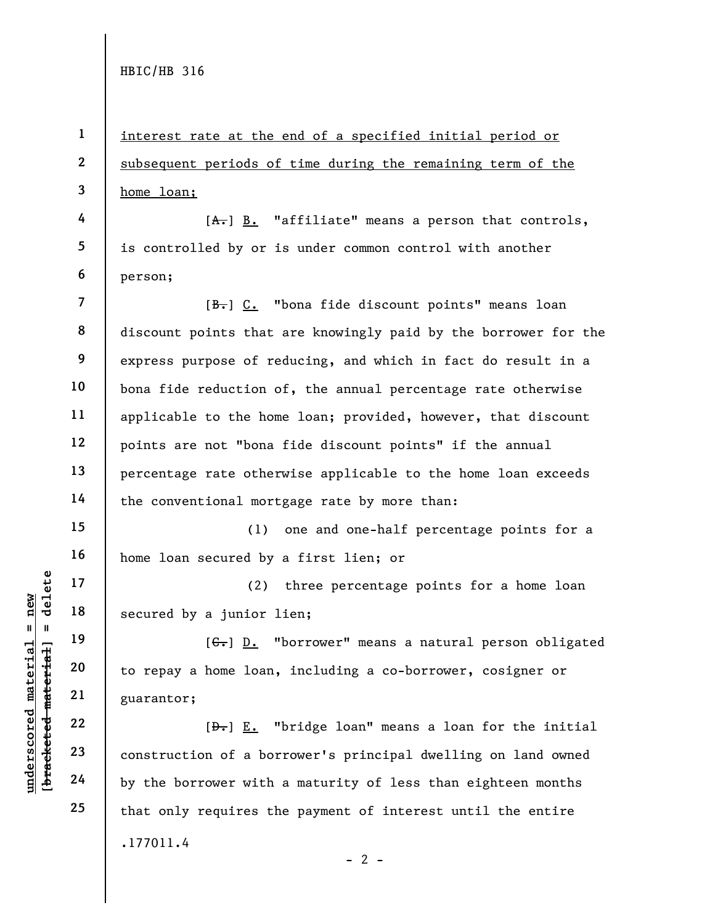**4** 

**5** 

**6** 

**15** 

**16** 

**17** 

**18** 

**19** 

**20** 

**21** 

**22** 

**23** 

**24** 

**25** 

**1 2 3**  interest rate at the end of a specified initial period or subsequent periods of time during the remaining term of the home loan;

 $[A<sub>1</sub>]$  B. "affiliate" means a person that controls, is controlled by or is under common control with another person;

**7 8 9 10 11 12 13 14**  [B.] C. "bona fide discount points" means loan discount points that are knowingly paid by the borrower for the express purpose of reducing, and which in fact do result in a bona fide reduction of, the annual percentage rate otherwise applicable to the home loan; provided, however, that discount points are not "bona fide discount points" if the annual percentage rate otherwise applicable to the home loan exceeds the conventional mortgage rate by more than:

(1) one and one-half percentage points for a home loan secured by a first lien; or

(2) three percentage points for a home loan secured by a junior lien;

 $[G_{\tau}]$  D. "borrower" means a natural person obligated to repay a home loan, including a co-borrower, cosigner or guarantor;

.177011.4  $- 2 [\frac{D-1}{2}]$  E. "bridge loan" means a loan for the initial construction of a borrower's principal dwelling on land owned by the borrower with a maturity of less than eighteen months that only requires the payment of interest until the entire

 $$ **[bracketed material] = delete**  $anderscored material = new$ **underscored material = new**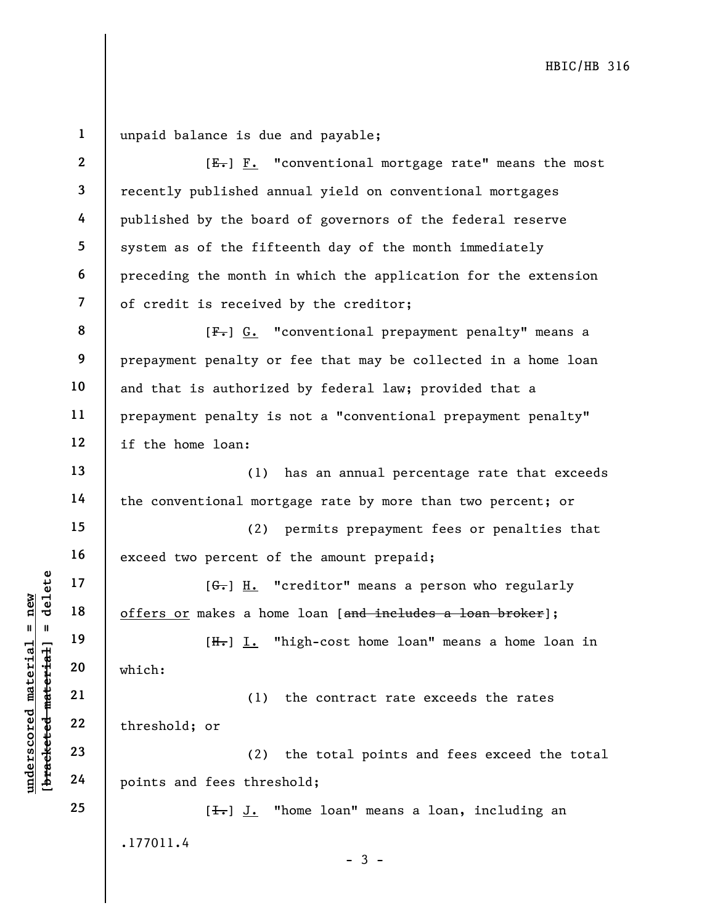**1 2 3 4 5 6 7 8 9 10 11 12 13 14 15 16 17 18 19 20 21 22 23 24 25**  .177011.4 unpaid balance is due and payable;  $[E_{\tau}]$  **F.** "conventional mortgage rate" means the most recently published annual yield on conventional mortgages published by the board of governors of the federal reserve system as of the fifteenth day of the month immediately preceding the month in which the application for the extension of credit is received by the creditor; [ $F -$ ] G. "conventional prepayment penalty" means a prepayment penalty or fee that may be collected in a home loan and that is authorized by federal law; provided that a prepayment penalty is not a "conventional prepayment penalty" if the home loan: (1) has an annual percentage rate that exceeds the conventional mortgage rate by more than two percent; or (2) permits prepayment fees or penalties that exceed two percent of the amount prepaid;  $[G<sub>r</sub>]$  H. "creditor" means a person who regularly offers or makes a home loan [and includes a loan broker]; [H.] I. "high-cost home loan" means a home loan in which: (1) the contract rate exceeds the rates threshold; or (2) the total points and fees exceed the total points and fees threshold; [<del>I.</del>] J. "home loan" means a loan, including an

- 3 -

**underscored material = new [bracketed material] = delete**

 $b$ racketed material] = delete  $anderscored material = new$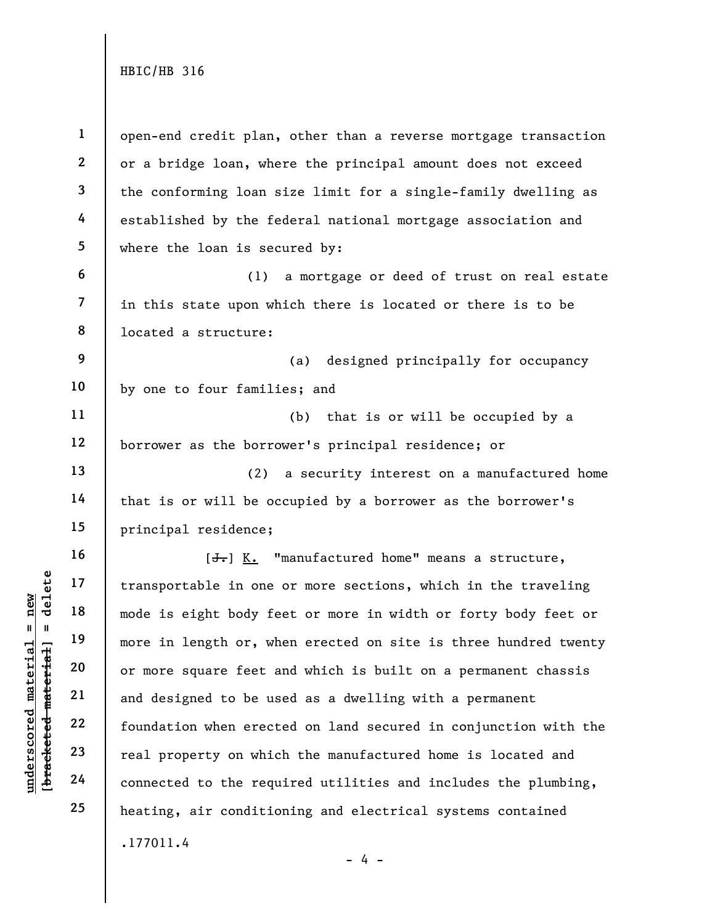**1 2 3 4 5 6 7 8 9 10 11 12 13 14 15 16 17 18 19 20 21 22 23 24 25**  .177011.4  $- 4$ open-end credit plan, other than a reverse mortgage transaction or a bridge loan, where the principal amount does not exceed the conforming loan size limit for a single-family dwelling as established by the federal national mortgage association and where the loan is secured by: (1) a mortgage or deed of trust on real estate in this state upon which there is located or there is to be located a structure: (a) designed principally for occupancy by one to four families; and (b) that is or will be occupied by a borrower as the borrower's principal residence; or (2) a security interest on a manufactured home that is or will be occupied by a borrower as the borrower's principal residence;  $[\frac{1}{\sqrt{1}}]$  K. "manufactured home" means a structure, transportable in one or more sections, which in the traveling mode is eight body feet or more in width or forty body feet or more in length or, when erected on site is three hundred twenty or more square feet and which is built on a permanent chassis and designed to be used as a dwelling with a permanent foundation when erected on land secured in conjunction with the real property on which the manufactured home is located and connected to the required utilities and includes the plumbing, heating, air conditioning and electrical systems contained

 $b$ racketed material] = delete **[bracketed material] = delete**  $anderscored material = new$ **underscored material = new**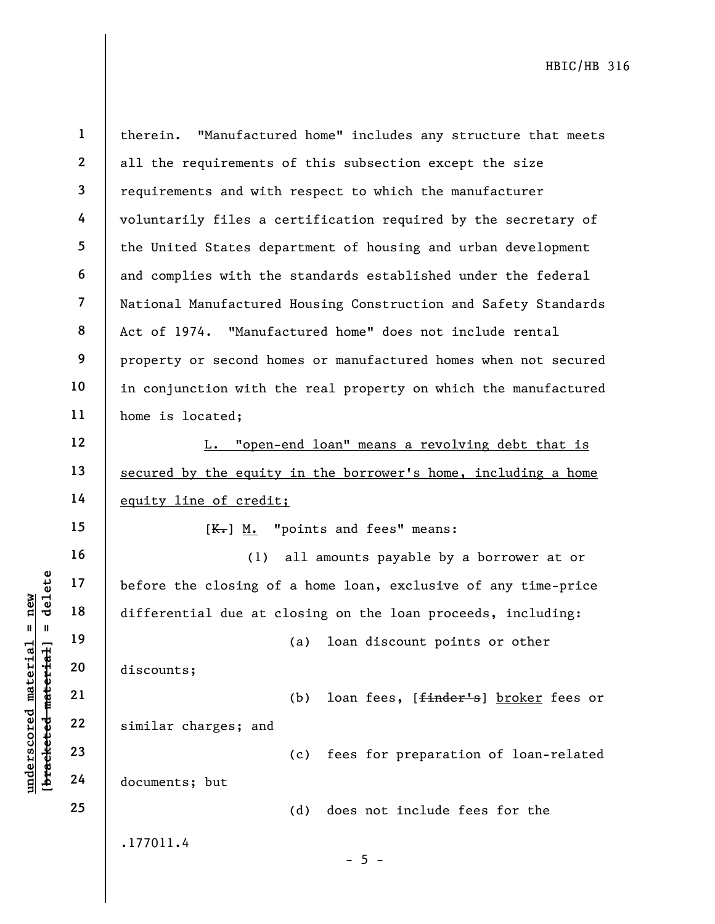|                                                        | $\mathbf{1}$             | therein. "Manufactured home" includes any structure that meets  |
|--------------------------------------------------------|--------------------------|-----------------------------------------------------------------|
|                                                        | $\mathbf{2}$             | all the requirements of this subsection except the size         |
|                                                        | $\overline{\mathbf{3}}$  | requirements and with respect to which the manufacturer         |
|                                                        | 4                        | voluntarily files a certification required by the secretary of  |
|                                                        | 5                        | the United States department of housing and urban development   |
|                                                        | 6                        | and complies with the standards established under the federal   |
|                                                        | $\overline{\mathcal{L}}$ | National Manufactured Housing Construction and Safety Standards |
|                                                        | 8                        | Act of 1974. "Manufactured home" does not include rental        |
|                                                        | 9                        | property or second homes or manufactured homes when not secured |
|                                                        | 10                       | in conjunction with the real property on which the manufactured |
|                                                        | 11                       | home is located;                                                |
|                                                        | 12                       | L. "open-end loan" means a revolving debt that is               |
|                                                        | 13                       | secured by the equity in the borrower's home, including a home  |
|                                                        | 14                       | equity line of credit;                                          |
|                                                        | 15                       | $K -$ ] M. "points and fees" means:                             |
|                                                        | 16                       | all amounts payable by a borrower at or<br>(1)                  |
| delete                                                 | 17                       | before the closing of a home loan, exclusive of any time-price  |
| $n$ ew<br>$\parallel$                                  | 18                       | differential due at closing on the loan proceeds, including:    |
| $\blacksquare$                                         | 19                       | (a) loan discount points or other                               |
|                                                        | 20                       | discounts;                                                      |
| underscored materia<br>[ <del>bracketed material</del> | 21                       | loan fees, [finder's] broker fees or<br>(b)                     |
|                                                        | 22                       | similar charges; and                                            |
|                                                        | 23                       | fees for preparation of loan-related<br>(c)                     |
|                                                        | 24                       | documents; but                                                  |
|                                                        | 25                       | (d)<br>does not include fees for the                            |
|                                                        |                          | .177011.4<br>$-5 -$                                             |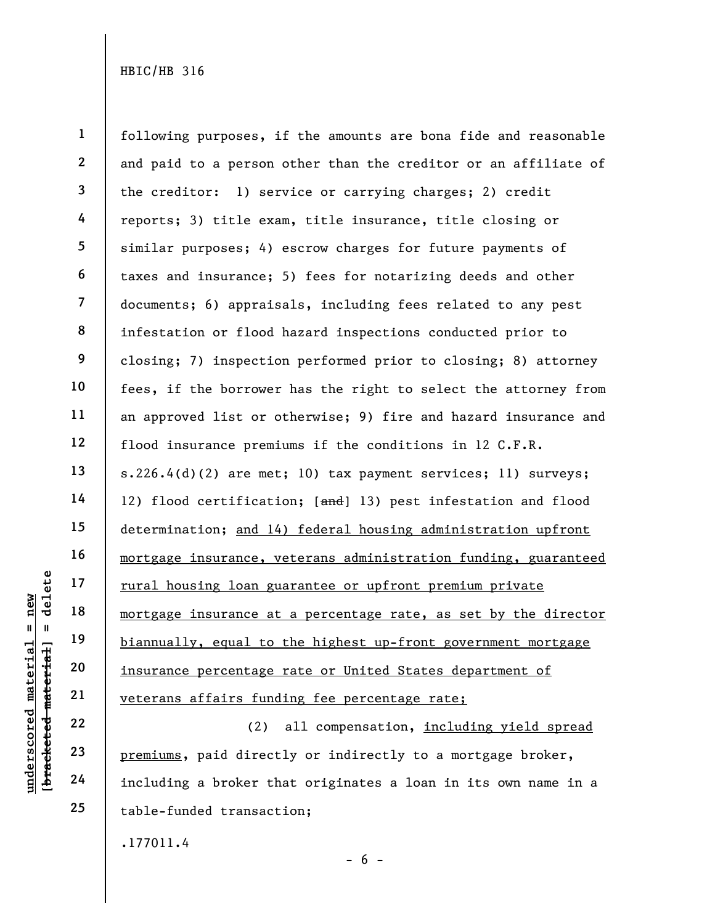**1 2 3 4 5 6 7 8 9 10 11 12 13 14 15 16 17 18 19 20 21**  following purposes, if the amounts are bona fide and reasonable and paid to a person other than the creditor or an affiliate of the creditor: 1) service or carrying charges; 2) credit reports; 3) title exam, title insurance, title closing or similar purposes; 4) escrow charges for future payments of taxes and insurance; 5) fees for notarizing deeds and other documents; 6) appraisals, including fees related to any pest infestation or flood hazard inspections conducted prior to closing; 7) inspection performed prior to closing; 8) attorney fees, if the borrower has the right to select the attorney from an approved list or otherwise; 9) fire and hazard insurance and flood insurance premiums if the conditions in 12 C.F.R. s.226.4(d)(2) are met; 10) tax payment services; 11) surveys; 12) flood certification; [and] 13) pest infestation and flood determination; and 14) federal housing administration upfront mortgage insurance, veterans administration funding, guaranteed rural housing loan guarantee or upfront premium private mortgage insurance at a percentage rate, as set by the director biannually, equal to the highest up-front government mortgage insurance percentage rate or United States department of veterans affairs funding fee percentage rate;

(2) all compensation, including yield spread premiums, paid directly or indirectly to a mortgage broker, including a broker that originates a loan in its own name in a table-funded transaction;

 $- 6 -$ 

.177011.4

 $$ **[bracketed material] = delete**  $anderscored material = new$ **underscored material = new**

**22** 

**23** 

**24** 

**25**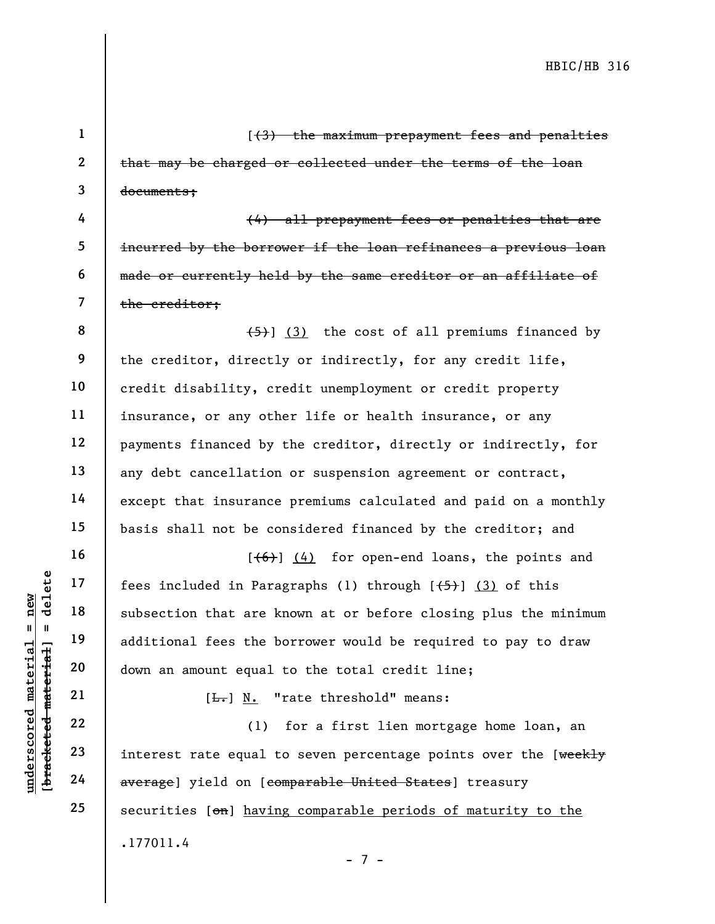**1 2 3 4 5 6 7 8 9 10 11 12 13 14 15 16 17 18 19 20 21 22 23 24 25**  .177011.4 - 7 - [(3) the maximum prepayment fees and penalties that may be charged or collected under the terms of the loan documents; (4) all prepayment fees or penalties that are incurred by the borrower if the loan refinances a previous loan made or currently held by the same creditor or an affiliate of the creditor;  $(5)$ ] (3) the cost of all premiums financed by the creditor, directly or indirectly, for any credit life, credit disability, credit unemployment or credit property insurance, or any other life or health insurance, or any payments financed by the creditor, directly or indirectly, for any debt cancellation or suspension agreement or contract, except that insurance premiums calculated and paid on a monthly basis shall not be considered financed by the creditor; and  $[ (6) ] (4)$  for open-end loans, the points and fees included in Paragraphs (1) through  $[45]$  (3) of this subsection that are known at or before closing plus the minimum additional fees the borrower would be required to pay to draw down an amount equal to the total credit line; [L.] N. "rate threshold" means: (1) for a first lien mortgage home loan, an interest rate equal to seven percentage points over the [weekly average] yield on [comparable United States] treasury securities [on] having comparable periods of maturity to the

 $$ **[bracketed material] = delete**  $anderscored material = new$ **underscored material = new**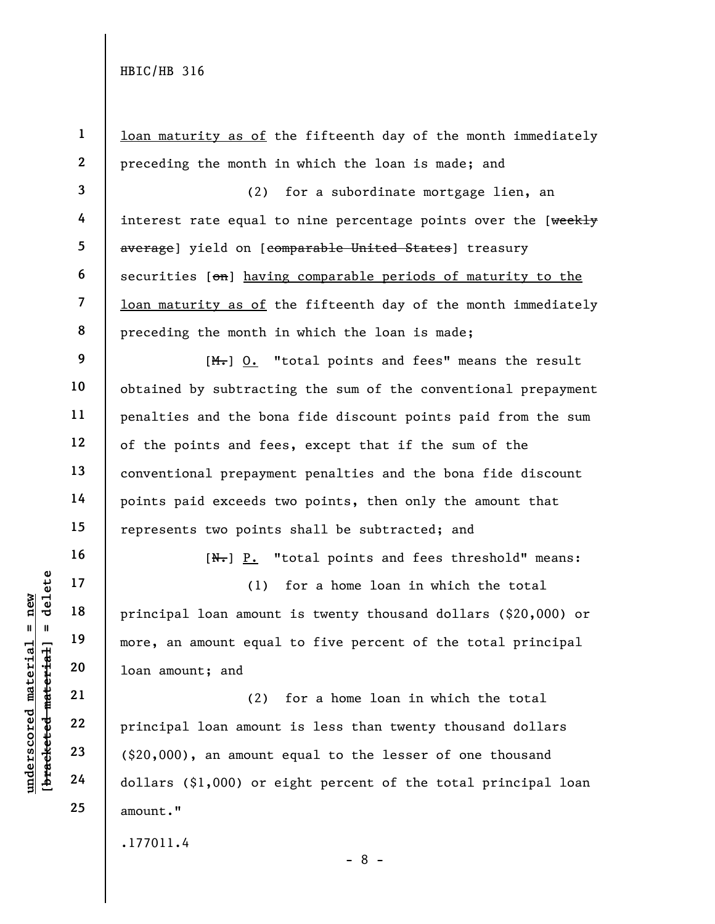| $\mathbf{1}$ | loan maturity as of the fifteenth day of the month immediately              |
|--------------|-----------------------------------------------------------------------------|
| $\mathbf{2}$ | preceding the month in which the loan is made; and                          |
| $\mathbf{3}$ | for a subordinate mortgage lien, an<br>(2)                                  |
| 4            | interest rate equal to nine percentage points over the [weekly              |
| 5            | average] yield on [comparable United States] treasury                       |
| 6            | securities [on] having comparable periods of maturity to the                |
| 7            | loan maturity as of the fifteenth day of the month immediately              |
| 8            | preceding the month in which the loan is made;                              |
| 9            | $[M_{\tau}]$ 0. "total points and fees" means the result                    |
| 10           | obtained by subtracting the sum of the conventional prepayment              |
| 11           | penalties and the bona fide discount points paid from the sum               |
| 12           | of the points and fees, except that if the sum of the                       |
| 13           | conventional prepayment penalties and the bona fide discount                |
| 14           | points paid exceeds two points, then only the amount that                   |
| 15           | represents two points shall be subtracted; and                              |
| 16           | $[\frac{N-1}{N}]$ $\underline{P.}$ "total points and fees threshold" means: |
| 17           | for a home loan in which the total<br>(1)                                   |
| 18           | principal loan amount is twenty thousand dollars (\$20,000) or              |
| 19           | more, an amount equal to five percent of the total principal                |
| 20           | loan amount; and                                                            |
| 21           | for a home loan in which the total<br>(2)                                   |
| 22           | principal loan amount is less than twenty thousand dollars                  |
| 23           | $(\text{$}20,000)$ , an amount equal to the lesser of one thousand          |
| 24           | dollars (\$1,000) or eight percent of the total principal loan              |
| 25           | amount."                                                                    |
|              |                                                                             |

.177011.4

**underscored material = new [bracketed material] = delete**

[bracketed material] = delete  $underscored material = new$ 

- 8 -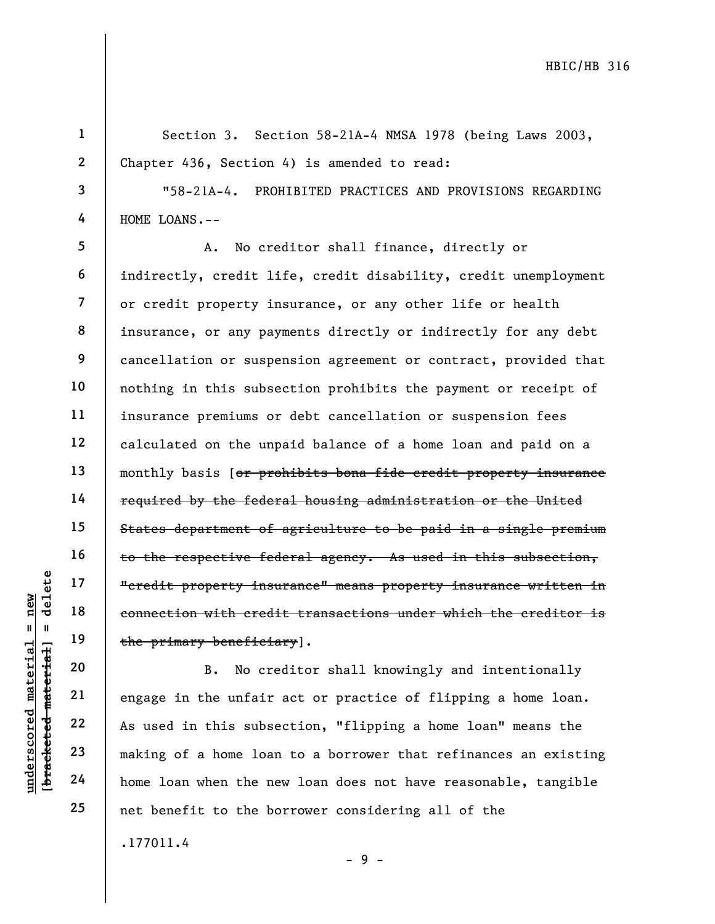**1 2 3 4 5 6 7 8 9 10 11 12 13 14 15 16 17 18 19 20 21**  Section 3. Section 58-21A-4 NMSA 1978 (being Laws 2003, Chapter 436, Section 4) is amended to read: "58-21A-4. PROHIBITED PRACTICES AND PROVISIONS REGARDING HOME LOANS.-- A. No creditor shall finance, directly or indirectly, credit life, credit disability, credit unemployment or credit property insurance, or any other life or health insurance, or any payments directly or indirectly for any debt cancellation or suspension agreement or contract, provided that nothing in this subsection prohibits the payment or receipt of insurance premiums or debt cancellation or suspension fees calculated on the unpaid balance of a home loan and paid on a monthly basis [or prohibits bona fide credit property insurance required by the federal housing administration or the United States department of agriculture to be paid in a single premium to the respective federal agency. As used in this subsection, "credit property insurance" means property insurance written in connection with credit transactions under which the creditor is the primary beneficiary]. B. No creditor shall knowingly and intentionally engage in the unfair act or practice of flipping a home loan.

 $$ **[bracketed material] = delete**  $anderscored material = new$ **underscored material = new**

**22** 

**23** 

**24** 

**25** 

.177011.4 As used in this subsection, "flipping a home loan" means the making of a home loan to a borrower that refinances an existing home loan when the new loan does not have reasonable, tangible net benefit to the borrower considering all of the

- 9 -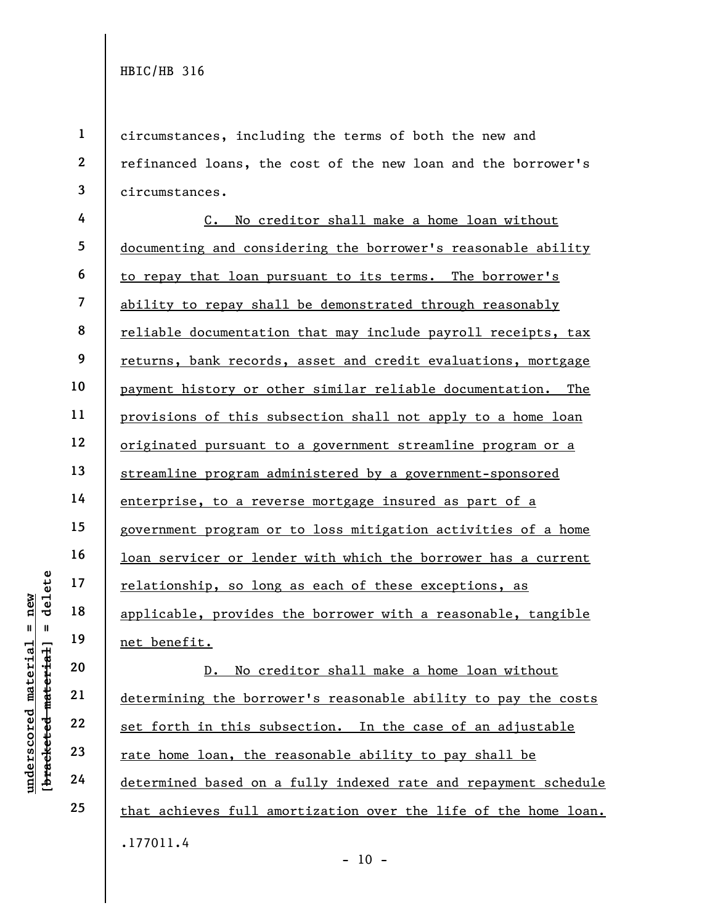**1 2 3**  circumstances, including the terms of both the new and refinanced loans, the cost of the new loan and the borrower's circumstances.

**4 5 6 7 8 9 10 11 12 13 14 15 16 17 18 19**  C. No creditor shall make a home loan without documenting and considering the borrower's reasonable ability to repay that loan pursuant to its terms. The borrower's ability to repay shall be demonstrated through reasonably reliable documentation that may include payroll receipts, tax returns, bank records, asset and credit evaluations, mortgage payment history or other similar reliable documentation. The provisions of this subsection shall not apply to a home loan originated pursuant to a government streamline program or a streamline program administered by a government-sponsored enterprise, to a reverse mortgage insured as part of a government program or to loss mitigation activities of a home loan servicer or lender with which the borrower has a current relationship, so long as each of these exceptions, as applicable, provides the borrower with a reasonable, tangible net benefit.

.177011.4 D. No creditor shall make a home loan without determining the borrower's reasonable ability to pay the costs set forth in this subsection. In the case of an adjustable rate home loan, the reasonable ability to pay shall be determined based on a fully indexed rate and repayment schedule that achieves full amortization over the life of the home loan.

delete **[bracketed material] = delete underscored material = new**  $=$  new  $breaked$  material = inderscored material

**20** 

**21** 

**22** 

**23** 

**24** 

**25** 

 $- 10 -$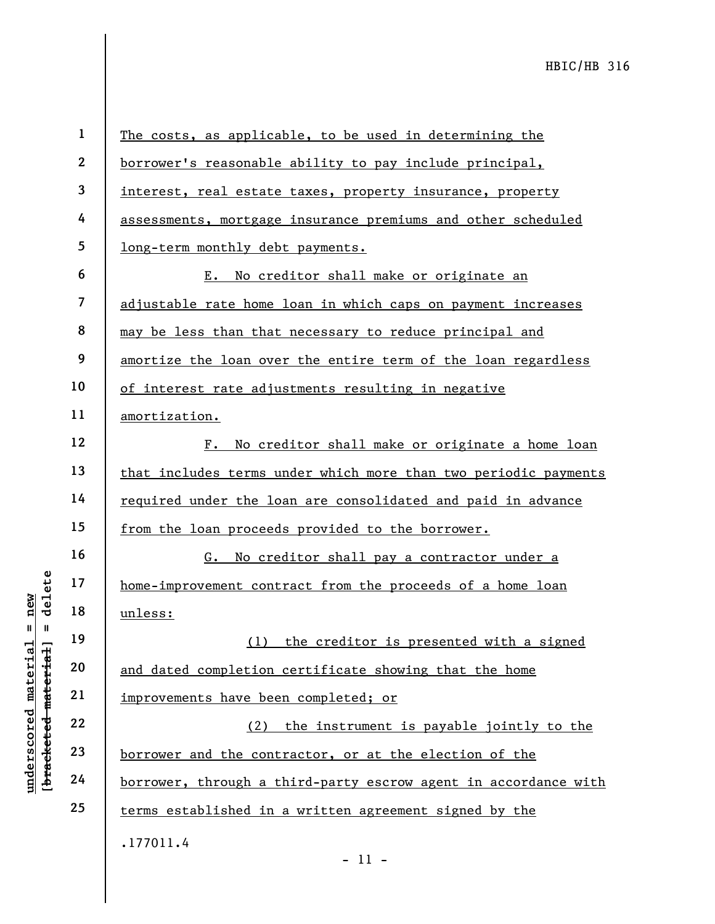**1 2 3 4 5 6 7 8 9 10 11 12 13 14 15 16 17 18 19 20 21 22 23 24 25**  .177011.4 The costs, as applicable, to be used in determining the borrower's reasonable ability to pay include principal, interest, real estate taxes, property insurance, property assessments, mortgage insurance premiums and other scheduled long-term monthly debt payments. E. No creditor shall make or originate an adjustable rate home loan in which caps on payment increases may be less than that necessary to reduce principal and amortize the loan over the entire term of the loan regardless of interest rate adjustments resulting in negative amortization. F. No creditor shall make or originate a home loan that includes terms under which more than two periodic payments required under the loan are consolidated and paid in advance from the loan proceeds provided to the borrower. G. No creditor shall pay a contractor under a home-improvement contract from the proceeds of a home loan unless: (1) the creditor is presented with a signed and dated completion certificate showing that the home improvements have been completed; or (2) the instrument is payable jointly to the borrower and the contractor, or at the election of the borrower, through a third-party escrow agent in accordance with terms established in a written agreement signed by the

- 11 -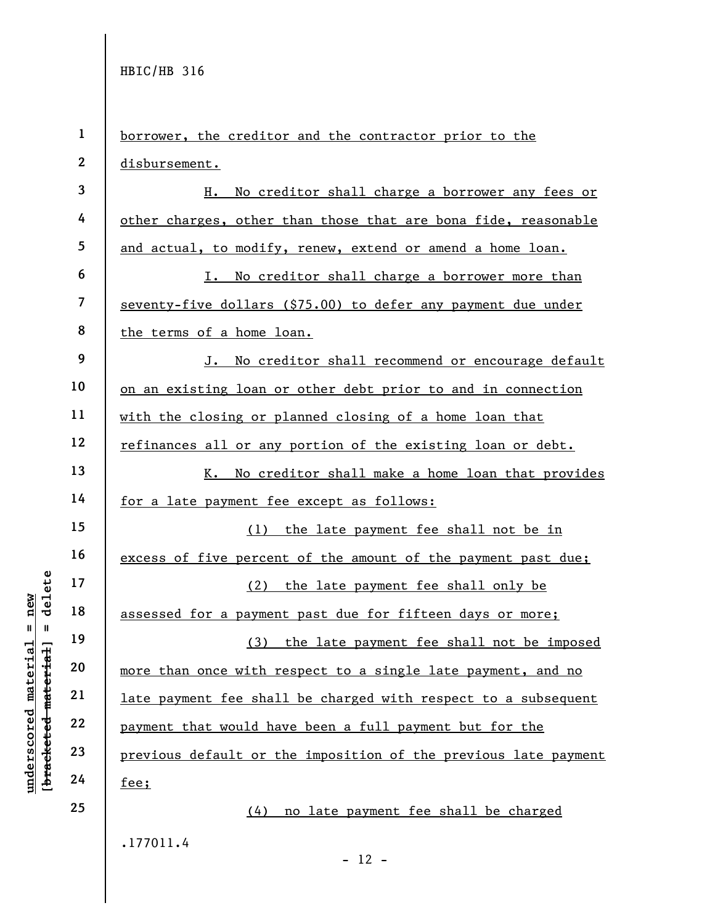**underscored material = new [bracketed material] = delete**

 $$ inderscored material = new

**1 2 3 4 5 6 7 8 9 10 11 12 13 14 15 16 17 18 19 20 21 22 23 24 25**  .177011.4  $- 12$ borrower, the creditor and the contractor prior to the disbursement. H. No creditor shall charge a borrower any fees or other charges, other than those that are bona fide, reasonable and actual, to modify, renew, extend or amend a home loan. I. No creditor shall charge a borrower more than seventy-five dollars (\$75.00) to defer any payment due under the terms of a home loan. J. No creditor shall recommend or encourage default on an existing loan or other debt prior to and in connection with the closing or planned closing of a home loan that refinances all or any portion of the existing loan or debt. K. No creditor shall make a home loan that provides for a late payment fee except as follows: (1) the late payment fee shall not be in excess of five percent of the amount of the payment past due; (2) the late payment fee shall only be assessed for a payment past due for fifteen days or more; (3) the late payment fee shall not be imposed more than once with respect to a single late payment, and no late payment fee shall be charged with respect to a subsequent payment that would have been a full payment but for the previous default or the imposition of the previous late payment fee; (4) no late payment fee shall be charged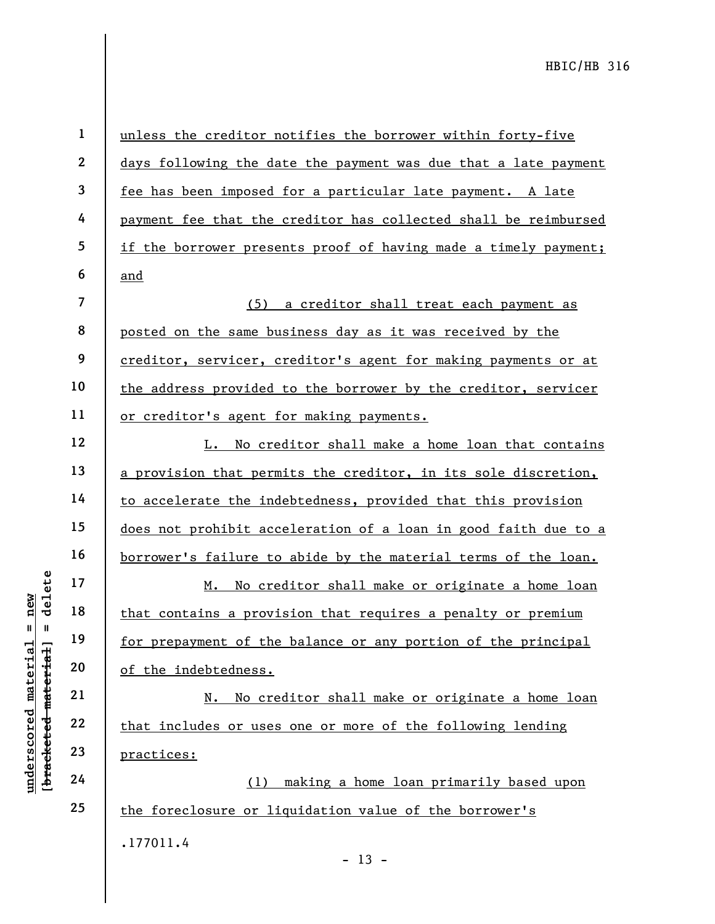**1 2 3 4 5 6 7 8 9 10 11 12 13 14 15 16 17 18 19 20 21 22 23 24 25**  .177011.4 unless the creditor notifies the borrower within forty-five days following the date the payment was due that a late payment fee has been imposed for a particular late payment. A late payment fee that the creditor has collected shall be reimbursed if the borrower presents proof of having made a timely payment; and (5) a creditor shall treat each payment as posted on the same business day as it was received by the creditor, servicer, creditor's agent for making payments or at the address provided to the borrower by the creditor, servicer or creditor's agent for making payments. L. No creditor shall make a home loan that contains a provision that permits the creditor, in its sole discretion, to accelerate the indebtedness, provided that this provision does not prohibit acceleration of a loan in good faith due to a borrower's failure to abide by the material terms of the loan. M. No creditor shall make or originate a home loan that contains a provision that requires a penalty or premium for prepayment of the balance or any portion of the principal of the indebtedness. N. No creditor shall make or originate a home loan that includes or uses one or more of the following lending practices: (1) making a home loan primarily based upon the foreclosure or liquidation value of the borrower's

 $- 13 -$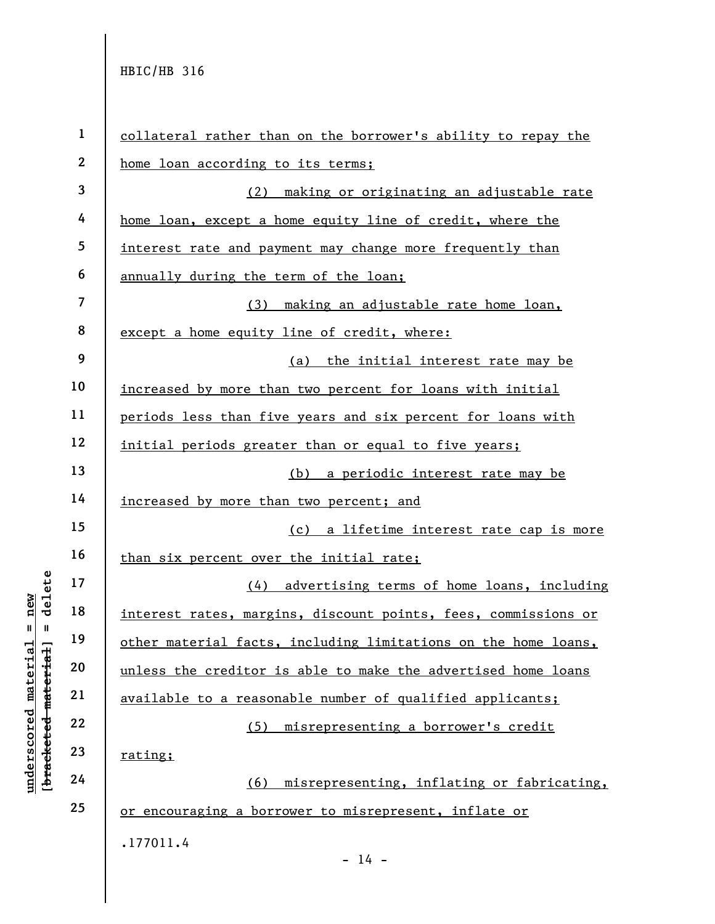| $\mathbf{1}$            | collateral rather than on the borrower's ability to repay the  |
|-------------------------|----------------------------------------------------------------|
| $\boldsymbol{2}$        | home loan according to its terms;                              |
| $\overline{\mathbf{3}}$ | (2) making or originating an adjustable rate                   |
| 4                       | home loan, except a home equity line of credit, where the      |
| $\overline{5}$          | interest rate and payment may change more frequently than      |
| $\boldsymbol{6}$        | annually during the term of the loan;                          |
| $\overline{\mathbf{7}}$ | (3) making an adjustable rate home loan,                       |
| 8                       | except a home equity line of credit, where:                    |
| 9                       | (a) the initial interest rate may be                           |
| 10                      | increased by more than two percent for loans with initial      |
| 11                      | periods less than five years and six percent for loans with    |
| 12                      | initial periods greater than or equal to five years;           |
| 13                      | (b) a periodic interest rate may be                            |
| 14                      | increased by more than two percent; and                        |
| 15                      | (c) a lifetime interest rate cap is more                       |
| 16                      | than six percent over the initial rate;                        |
| 17                      | advertising terms of home loans, including<br>(4)              |
| 18                      | interest rates, margins, discount points, fees, commissions or |
| 19                      | other material facts, including limitations on the home loans, |
| 20                      | unless the creditor is able to make the advertised home loans  |
| 21                      | available to a reasonable number of qualified applicants;      |
| 22                      | misrepresenting a borrower's credit<br>(5)                     |
| 23                      | rating;                                                        |
| 24                      | (6) misrepresenting, inflating or fabricating,                 |
| 25                      | or encouraging a borrower to misrepresent, inflate or          |
|                         | .177011.4                                                      |
|                         | $-14 -$                                                        |

 $\frac{\text{underscored material = new}}{\text{theredef-metertial}}$  <br> [bracketed material] = delete **[bracketed material] = delete underscored material = new**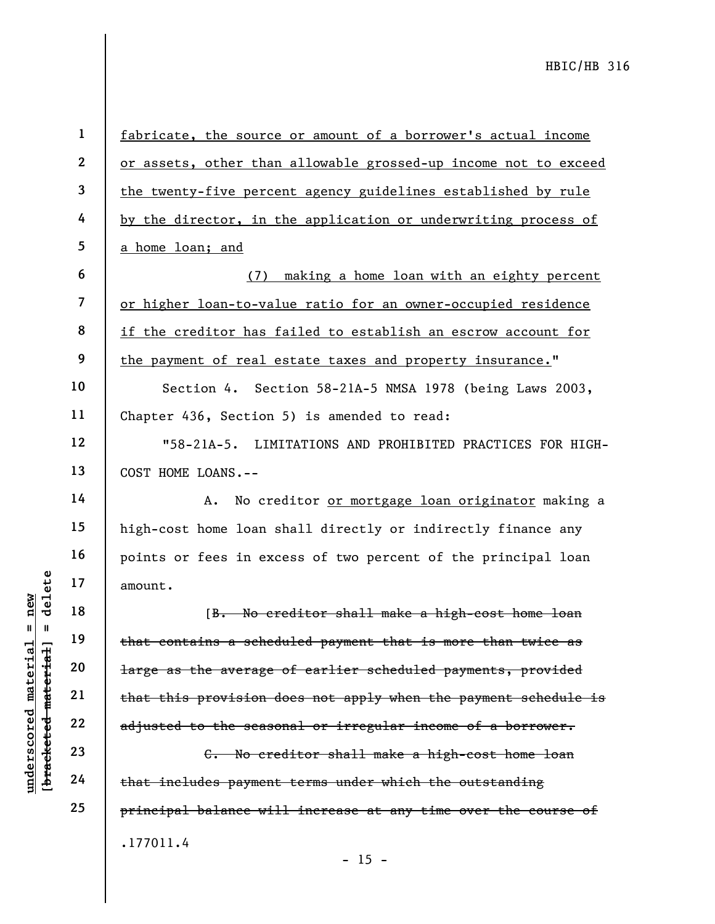**1 2 3 4 5 6 7 8 9 10 11 12 13 14 15 16 17 18 19 20 21 22 23 24 25**  .177011.4 fabricate, the source or amount of a borrower's actual income or assets, other than allowable grossed-up income not to exceed the twenty-five percent agency guidelines established by rule by the director, in the application or underwriting process of a home loan; and (7) making a home loan with an eighty percent or higher loan-to-value ratio for an owner-occupied residence if the creditor has failed to establish an escrow account for the payment of real estate taxes and property insurance." Section 4. Section 58-21A-5 NMSA 1978 (being Laws 2003, Chapter 436, Section 5) is amended to read: "58-21A-5. LIMITATIONS AND PROHIBITED PRACTICES FOR HIGH-COST HOME LOANS.-- A. No creditor or mortgage loan originator making a high-cost home loan shall directly or indirectly finance any points or fees in excess of two percent of the principal loan amount. [B. No creditor shall make a high-cost home loan that contains a scheduled payment that is more than twice as large as the average of earlier scheduled payments, provided that this provision does not apply when the payment schedule is adjusted to the seasonal or irregular income of a borrower. C. No creditor shall make a high-cost home loan that includes payment terms under which the outstanding principal balance will increase at any time over the course of

 $- 15 -$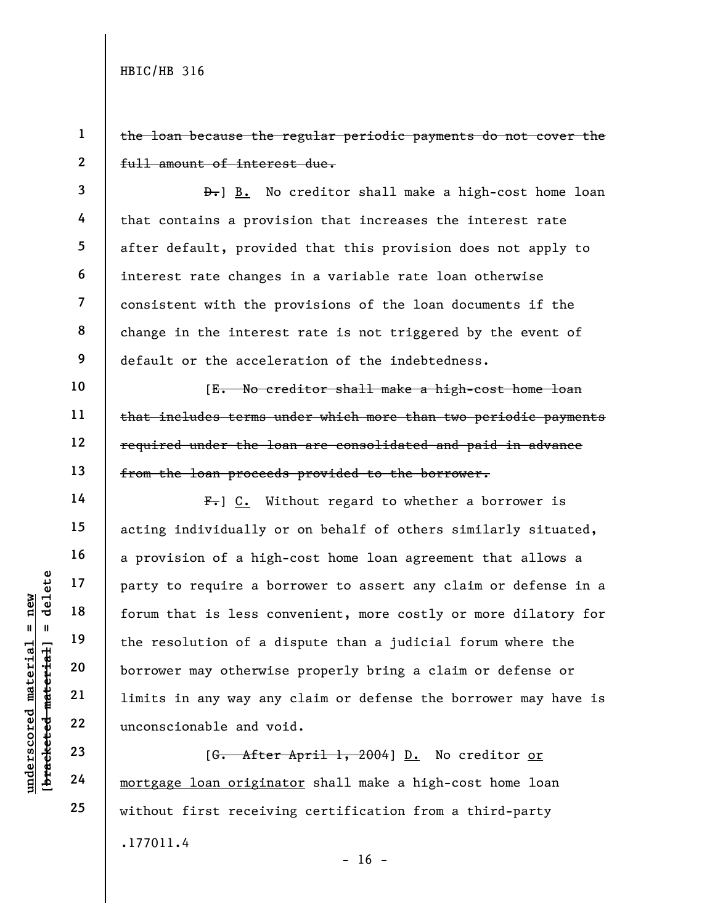**1** 

**3** 

**4** 

**5** 

**6** 

**7** 

**8** 

**9** 

**10** 

**11** 

**12** 

**13** 

**14** 

**15** 

**16** 

**17** 

**18** 

**19** 

**20** 

**21** 

**22** 

**23** 

**24** 

**25** 

**2**  the loan because the regular periodic payments do not cover the full amount of interest due.

D. B. No creditor shall make a high-cost home loan that contains a provision that increases the interest rate after default, provided that this provision does not apply to interest rate changes in a variable rate loan otherwise consistent with the provisions of the loan documents if the change in the interest rate is not triggered by the event of default or the acceleration of the indebtedness.

[E. No creditor shall make a high-cost home loan that includes terms under which more than two periodic payments required under the loan are consolidated and paid in advance from the loan proceeds provided to the borrower.

 $F_{\bullet}$ ] C. Without regard to whether a borrower is acting individually or on behalf of others similarly situated, a provision of a high-cost home loan agreement that allows a party to require a borrower to assert any claim or defense in a forum that is less convenient, more costly or more dilatory for the resolution of a dispute than a judicial forum where the borrower may otherwise properly bring a claim or defense or limits in any way any claim or defense the borrower may have is unconscionable and void.

.177011.4 [G. After April 1, 2004] D. No creditor or mortgage loan originator shall make a high-cost home loan without first receiving certification from a third-party

delete **[bracketed material] = delete** inderscored material = new **underscored material = new**  $breed–metet-d–met- $\frac{1}{2}$  =$ 

 $- 16 -$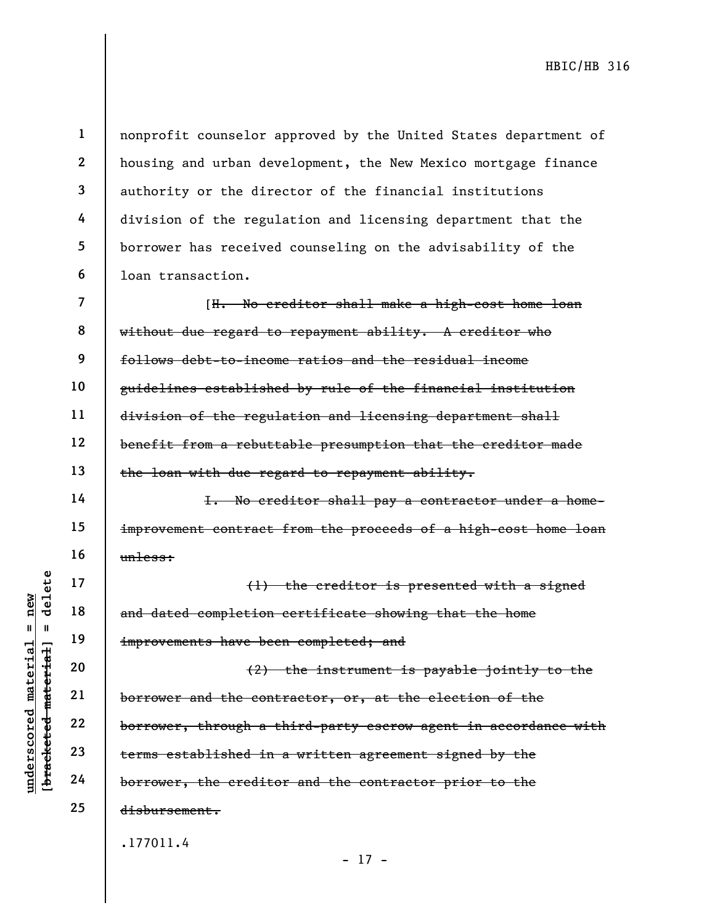**1 2 3 4 5 6**  nonprofit counselor approved by the United States department of housing and urban development, the New Mexico mortgage finance authority or the director of the financial institutions division of the regulation and licensing department that the borrower has received counseling on the advisability of the loan transaction.

**7 8 9 10 11 12 13**  [H. No creditor shall make a high-cost home loan without due regard to repayment ability. A creditor who follows debt-to-income ratios and the residual income guidelines established by rule of the financial institution division of the regulation and licensing department shall benefit from a rebuttable presumption that the creditor made the loan with due regard to repayment ability.

I. No creditor shall pay a contractor under a homeimprovement contract from the proceeds of a high-cost home loan unless:

(1) the creditor is presented with a signed and dated completion certificate showing that the home improvements have been completed; and

(2) the instrument is payable jointly to the borrower and the contractor, or, at the election of the borrower, through a third-party escrow agent in accordance with terms established in a written agreement signed by the borrower, the creditor and the contractor prior to the disbursement.

- 17 -

.177011.4

delete **[bracketed material] = delete** inderscored material = new **underscored material = new**  $\mathbf{I}$ bracketed material

**14** 

**15** 

**16** 

**17** 

**18** 

**19** 

**20** 

**21** 

**22** 

**23** 

**24** 

**25**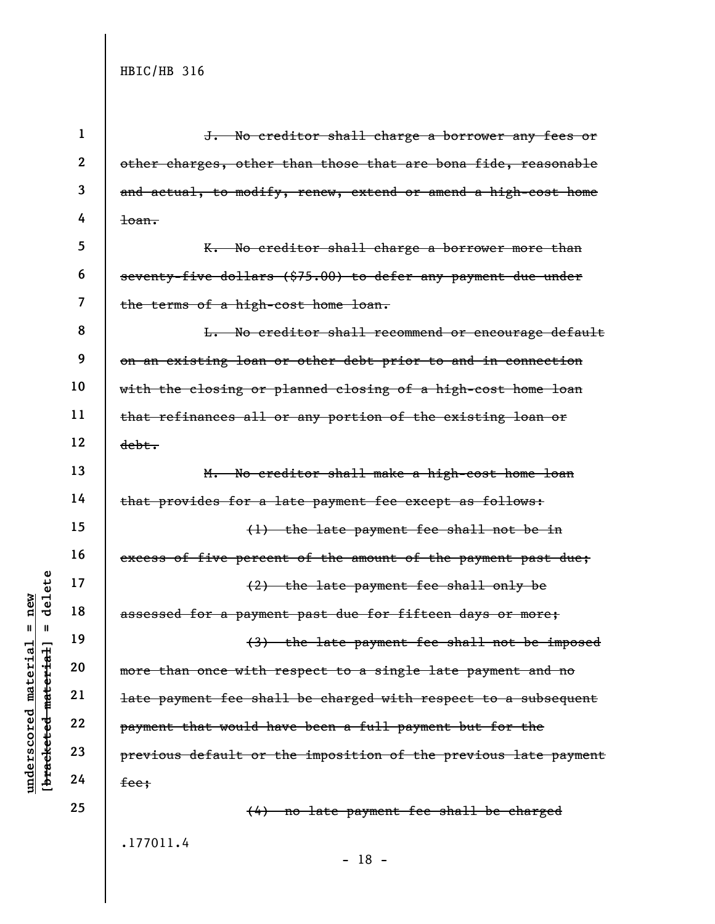**underscored material = new [bracketed material] = delete**

 $[$ bracketed material] = delete  $underscored material = new$ 

| $\mathbf 1$      | J. No creditor shall charge a borrower any fees or              |
|------------------|-----------------------------------------------------------------|
| $\boldsymbol{2}$ | other charges, other than those that are bona fide, reasonable  |
| 3                | and actual, to modify, renew, extend or amend a high-cost home  |
| 4                | $1$ oan.                                                        |
| 5                | K. No creditor shall charge a borrower more than                |
| 6                | seventy-five dollars (\$75.00) to defer any payment due under   |
| 7                | the terms of a high-cost home loan.                             |
| 8                | L. No creditor shall recommend or encourage default             |
| 9                | on an existing loan or other debt prior to and in connection    |
| 10               | with the closing or planned closing of a high-cost home loan    |
| 11               | that refinances all or any portion of the existing loan or      |
| 12               | debt.                                                           |
| 13               | M. No creditor shall make a high-cost home loan                 |
| 14               | that provides for a late payment fee except as follows:         |
| 15               | (1) the late payment fee shall not be in                        |
| 16               | excess of five percent of the amount of the payment past due;   |
| 17               | (2) the late payment fee shall only be                          |
| 18               | assessed for a payment past due for fifteen days or more;       |
| 19               | (3) the late payment fee shall not be imposed                   |
| 20               | more than once with respect to a single late payment and no     |
| 21               | late payment fee shall be charged with respect to a subsequent  |
| 22               | payment that would have been a full payment but for the         |
| 23               | previous default or the imposition of the previous late payment |
| 24               | fee;                                                            |
| 25               | (4) no late payment fee shall be charged                        |
|                  | .177011.4                                                       |

- 18 -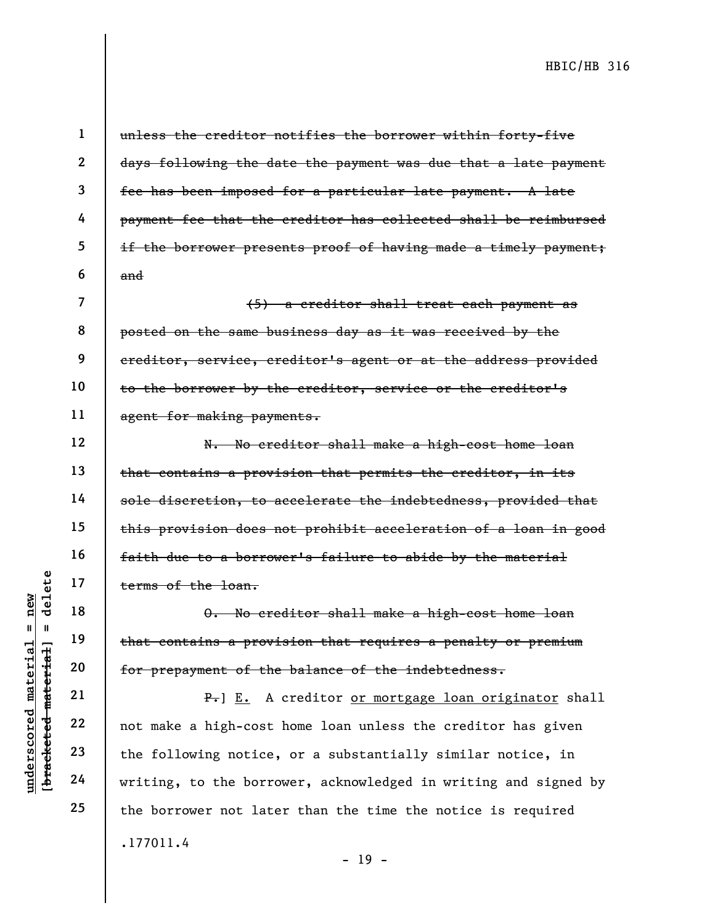**1** 

**2** 

**3** 

**4** 

**5** 

**6** 

**7** 

**8** 

**9** 

**10** 

**11** 

**12** 

**13** 

**14** 

**15** 

**16** 

**17** 

**18** 

**19** 

**20** 

**21** 

**22** 

**23** 

**24** 

**25** 

unless the creditor notifies the borrower within forty-five days following the date the payment was due that a late payment fee has been imposed for a particular late payment. A late payment fee that the creditor has collected shall be reimbursed if the borrower presents proof of having made a timely payment; and

(5) a creditor shall treat each payment as posted on the same business day as it was received by the creditor, service, creditor's agent or at the address provided to the borrower by the creditor, service or the creditor's agent for making payments.

N. No creditor shall make a high-cost home loan that contains a provision that permits the creditor, in its sole discretion, to accelerate the indebtedness, provided that this provision does not prohibit acceleration of a loan in good faith due to a borrower's failure to abide by the material terms of the loan.

O. No creditor shall make a high-cost home loan that contains a provision that requires a penalty or premium for prepayment of the balance of the indebtedness.

.177011.4 P. E. A creditor or mortgage loan originator shall not make a high-cost home loan unless the creditor has given the following notice, or a substantially similar notice, in writing, to the borrower, acknowledged in writing and signed by the borrower not later than the time the notice is required

- 19 -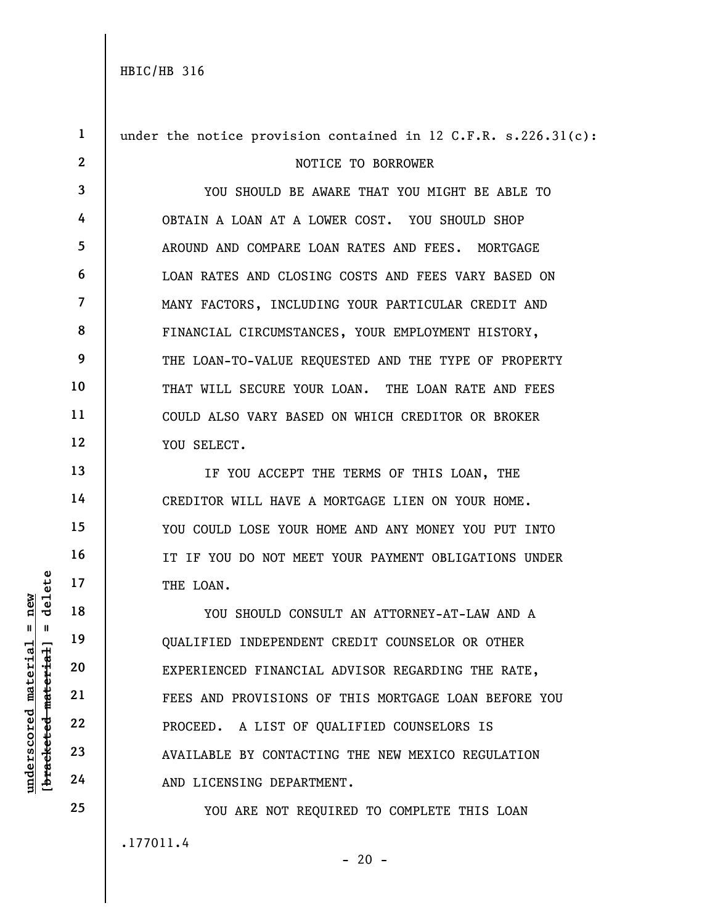**underscored material = new [bracketed material] = delete**

bracketed material] underscored material

 $=$  new  $\mathbf{I}$ 

delete

**1 2 3 4 5 6 7 8 9 10 11 12 13 14 15 16 17 18 19 20 21 22 23 24 25**  .177011.4 under the notice provision contained in  $12$  C.F.R. s.226.31(c): NOTICE TO BORROWER YOU SHOULD BE AWARE THAT YOU MIGHT BE ABLE TO OBTAIN A LOAN AT A LOWER COST. YOU SHOULD SHOP AROUND AND COMPARE LOAN RATES AND FEES. MORTGAGE LOAN RATES AND CLOSING COSTS AND FEES VARY BASED ON MANY FACTORS, INCLUDING YOUR PARTICULAR CREDIT AND FINANCIAL CIRCUMSTANCES, YOUR EMPLOYMENT HISTORY, THE LOAN-TO-VALUE REQUESTED AND THE TYPE OF PROPERTY THAT WILL SECURE YOUR LOAN. THE LOAN RATE AND FEES COULD ALSO VARY BASED ON WHICH CREDITOR OR BROKER YOU SELECT. IF YOU ACCEPT THE TERMS OF THIS LOAN, THE CREDITOR WILL HAVE A MORTGAGE LIEN ON YOUR HOME. YOU COULD LOSE YOUR HOME AND ANY MONEY YOU PUT INTO IT IF YOU DO NOT MEET YOUR PAYMENT OBLIGATIONS UNDER THE LOAN. YOU SHOULD CONSULT AN ATTORNEY-AT-LAW AND A QUALIFIED INDEPENDENT CREDIT COUNSELOR OR OTHER EXPERIENCED FINANCIAL ADVISOR REGARDING THE RATE, FEES AND PROVISIONS OF THIS MORTGAGE LOAN BEFORE YOU PROCEED. A LIST OF QUALIFIED COUNSELORS IS AVAILABLE BY CONTACTING THE NEW MEXICO REGULATION AND LICENSING DEPARTMENT. YOU ARE NOT REQUIRED TO COMPLETE THIS LOAN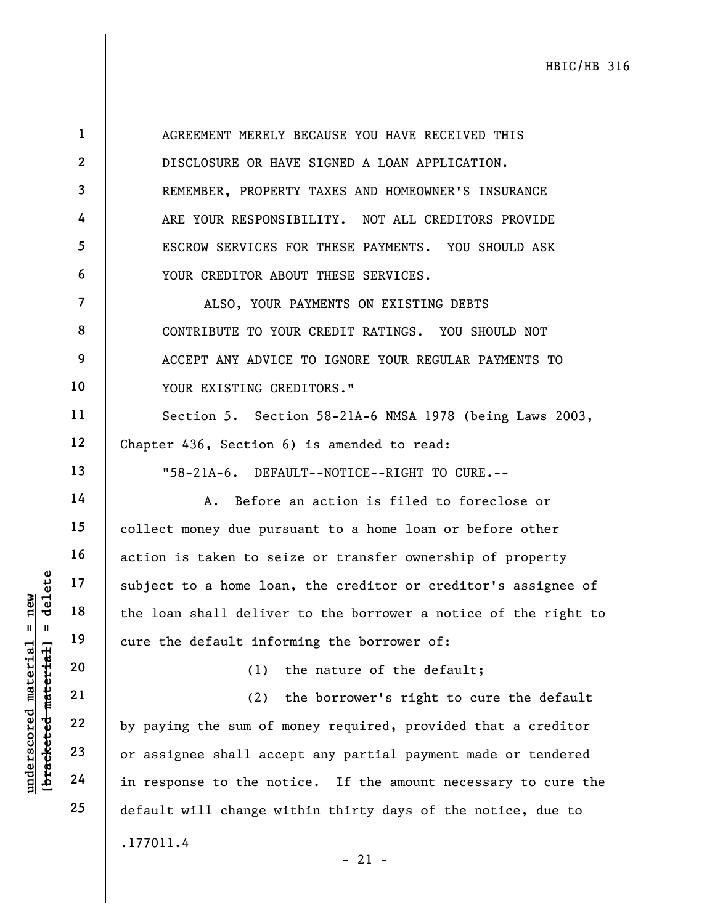AGREEMENT MERELY BECAUSE YOU HAVE RECEIVED THIS DISCLOSURE OR HAVE SIGNED A LOAN APPLICATION. REMEMBER, PROPERTY TAXES AND HOMEOWNER'S INSURANCE ARE YOUR RESPONSIBILITY. NOT ALL CREDITORS PROVIDE ESCROW SERVICES FOR THESE PAYMENTS. YOU SHOULD ASK YOUR CREDITOR ABOUT THESE SERVICES.

ALSO, YOUR PAYMENTS ON EXISTING DEBTS CONTRIBUTE TO YOUR CREDIT RATINGS. YOU SHOULD NOT ACCEPT ANY ADVICE TO IGNORE YOUR REGULAR PAYMENTS TO YOUR EXISTING CREDITORS."

Section 5. Section 58-21A-6 NMSA 1978 (being Laws 2003, Chapter 436, Section 6) is amended to read:

"58-21A-6. DEFAULT--NOTICE--RIGHT TO CURE.--

A. Before an action is filed to foreclose or collect money due pursuant to a home loan or before other action is taken to seize or transfer ownership of property subject to a home loan, the creditor or creditor's assignee of the loan shall deliver to the borrower a notice of the right to cure the default informing the borrower of:

(1) the nature of the default;

.177011.4  $- 21 -$ (2) the borrower's right to cure the default by paying the sum of money required, provided that a creditor or assignee shall accept any partial payment made or tendered in response to the notice. If the amount necessary to cure the default will change within thirty days of the notice, due to

delete **[bracketed material] = delete underscored material = new**  $=$  new  $breed$  material] = underscored material

**1** 

**2** 

**3** 

**4** 

**5** 

**6** 

**7** 

**8** 

**9** 

**10** 

**11** 

**12** 

**13** 

**14** 

**15** 

**16** 

**17** 

**18** 

**19** 

**20** 

**21** 

**22** 

**23** 

**24** 

**25**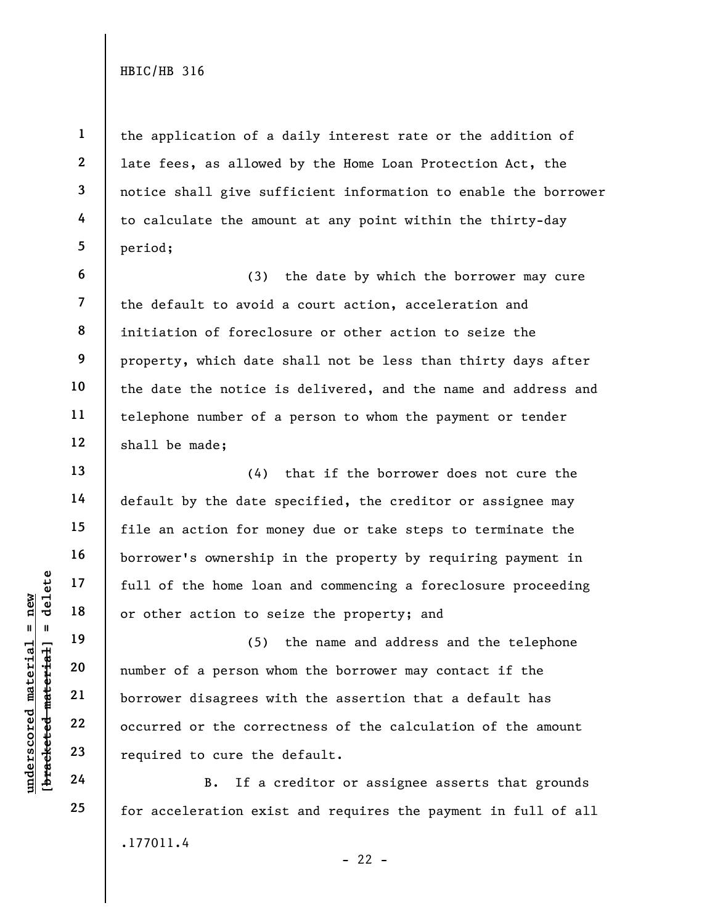**1** 

**2** 

**3** 

**4** 

**5** 

**6** 

**7** 

**8** 

**9** 

**10** 

**11** 

**12** 

**13** 

**14** 

**15** 

**16** 

**17** 

**18** 

**19** 

**20** 

**21** 

**22** 

**23** 

**24** 

**25** 

the application of a daily interest rate or the addition of late fees, as allowed by the Home Loan Protection Act, the notice shall give sufficient information to enable the borrower to calculate the amount at any point within the thirty-day period;

(3) the date by which the borrower may cure the default to avoid a court action, acceleration and initiation of foreclosure or other action to seize the property, which date shall not be less than thirty days after the date the notice is delivered, and the name and address and telephone number of a person to whom the payment or tender shall be made;

(4) that if the borrower does not cure the default by the date specified, the creditor or assignee may file an action for money due or take steps to terminate the borrower's ownership in the property by requiring payment in full of the home loan and commencing a foreclosure proceeding or other action to seize the property; and

(5) the name and address and the telephone number of a person whom the borrower may contact if the borrower disagrees with the assertion that a default has occurred or the correctness of the calculation of the amount required to cure the default.

.177011.4  $- 22 -$ B. If a creditor or assignee asserts that grounds for acceleration exist and requires the payment in full of all

 $$ **[bracketed material] = delete**  $anderscored material = new$ **underscored material = new**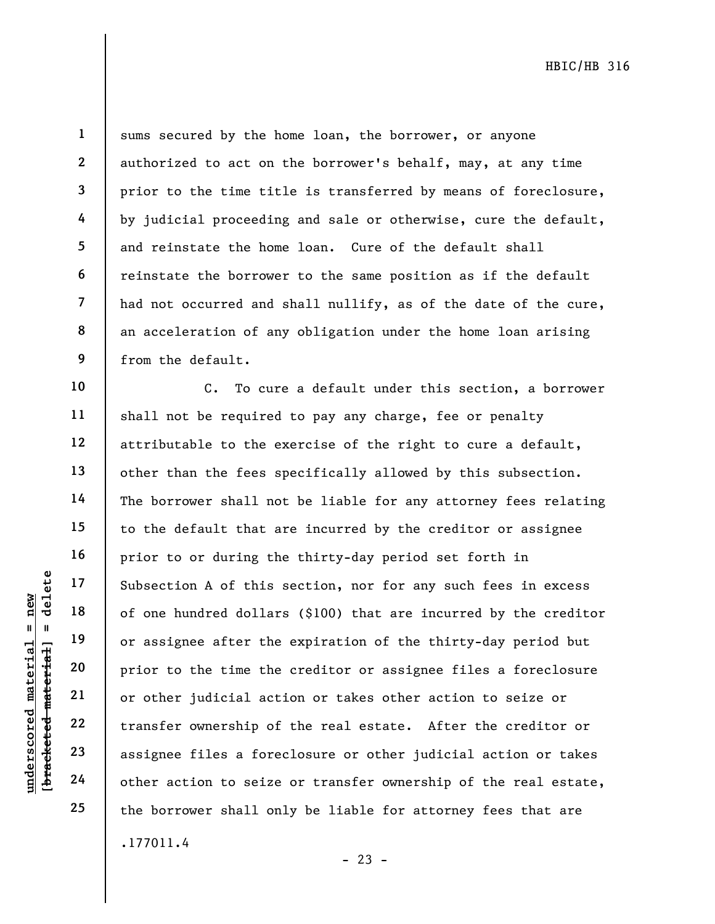delete **[bracketed material] = delete** inderscored material = new **underscored material = new**  $breed$  material] =

**1** 

**2** 

**3** 

**4** 

**5** 

**6** 

**7** 

**8** 

**9** 

**10** 

**11** 

**12** 

**13** 

**14** 

**15** 

**16** 

**17** 

**18** 

**19** 

**20** 

**21** 

**22** 

**23** 

**24** 

**25** 

sums secured by the home loan, the borrower, or anyone authorized to act on the borrower's behalf, may, at any time prior to the time title is transferred by means of foreclosure, by judicial proceeding and sale or otherwise, cure the default, and reinstate the home loan. Cure of the default shall reinstate the borrower to the same position as if the default had not occurred and shall nullify, as of the date of the cure, an acceleration of any obligation under the home loan arising from the default.

.177011.4 C. To cure a default under this section, a borrower shall not be required to pay any charge, fee or penalty attributable to the exercise of the right to cure a default, other than the fees specifically allowed by this subsection. The borrower shall not be liable for any attorney fees relating to the default that are incurred by the creditor or assignee prior to or during the thirty-day period set forth in Subsection A of this section, nor for any such fees in excess of one hundred dollars (\$100) that are incurred by the creditor or assignee after the expiration of the thirty-day period but prior to the time the creditor or assignee files a foreclosure or other judicial action or takes other action to seize or transfer ownership of the real estate. After the creditor or assignee files a foreclosure or other judicial action or takes other action to seize or transfer ownership of the real estate, the borrower shall only be liable for attorney fees that are

 $- 23 -$